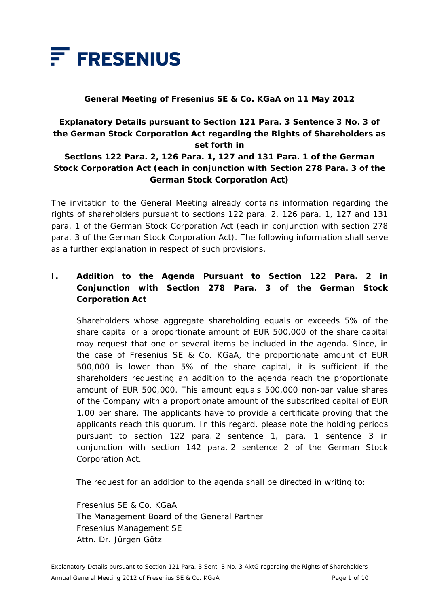

### **General Meeting of Fresenius SE & Co. KGaA on 11 May 2012**

# **Explanatory Details pursuant to Section 121 Para. 3 Sentence 3 No. 3 of the German Stock Corporation Act regarding the Rights of Shareholders as set forth in**

# **Sections 122 Para. 2, 126 Para. 1, 127 and 131 Para. 1 of the German Stock Corporation Act (each in conjunction with Section 278 Para. 3 of the German Stock Corporation Act)**

The invitation to the General Meeting already contains information regarding the rights of shareholders pursuant to sections 122 para. 2, 126 para. 1, 127 and 131 para. 1 of the German Stock Corporation Act (each in conjunction with section 278 para. 3 of the German Stock Corporation Act). The following information shall serve as a further explanation in respect of such provisions.

# **I. Addition to the Agenda Pursuant to Section 122 Para. 2 in Conjunction with Section 278 Para. 3 of the German Stock Corporation Act**

 Shareholders whose aggregate shareholding equals or exceeds 5% of the share capital or a proportionate amount of EUR 500,000 of the share capital may request that one or several items be included in the agenda. Since, in the case of Fresenius SE & Co. KGaA, the proportionate amount of EUR 500,000 is lower than 5% of the share capital, it is sufficient if the shareholders requesting an addition to the agenda reach the proportionate amount of EUR 500,000. This amount equals 500,000 non-par value shares of the Company with a proportionate amount of the subscribed capital of EUR 1.00 per share. The applicants have to provide a certificate proving that the applicants reach this quorum. In this regard, please note the holding periods pursuant to section 122 para. 2 sentence 1, para. 1 sentence 3 in conjunction with section 142 para. 2 sentence 2 of the German Stock Corporation Act.

The request for an addition to the agenda shall be directed in writing to:

 Fresenius SE & Co. KGaA The Management Board of the General Partner Fresenius Management SE Attn. Dr. Jürgen Götz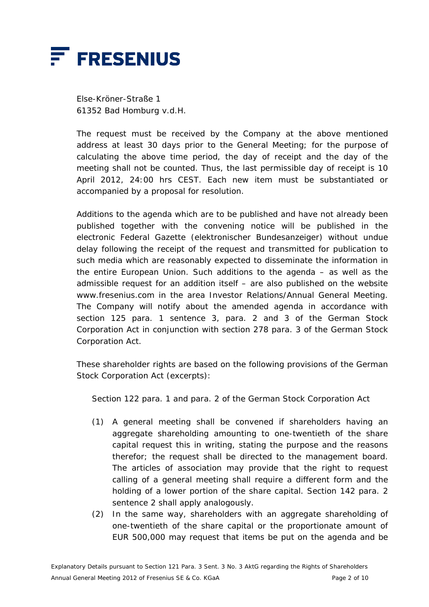

 Else-Kröner-Straße 1 61352 Bad Homburg v.d.H.

 The request must be received by the Company at the above mentioned address at least 30 days prior to the General Meeting; for the purpose of calculating the above time period, the day of receipt and the day of the meeting shall not be counted. Thus, the last permissible day of receipt is 10 April 2012, 24:00 hrs CEST. Each new item must be substantiated or accompanied by a proposal for resolution.

 Additions to the agenda which are to be published and have not already been published together with the convening notice will be published in the electronic Federal Gazette (*elektronischer Bundesanzeiger*) without undue delay following the receipt of the request and transmitted for publication to such media which are reasonably expected to disseminate the information in the entire European Union. Such additions to the agenda – as well as the admissible request for an addition itself – are also published on the website www.fresenius.com in the area Investor Relations/Annual General Meeting. The Company will notify about the amended agenda in accordance with section 125 para. 1 sentence 3, para. 2 and 3 of the German Stock Corporation Act in conjunction with section 278 para. 3 of the German Stock Corporation Act.

 These shareholder rights are based on the following provisions of the German Stock Corporation Act (excerpts):

Section 122 para. 1 and para. 2 of the German Stock Corporation Act

- (1) A general meeting shall be convened if shareholders having an aggregate shareholding amounting to one-twentieth of the share capital request this in writing, stating the purpose and the reasons therefor; the request shall be directed to the management board. The articles of association may provide that the right to request calling of a general meeting shall require a different form and the holding of a lower portion of the share capital. Section 142 para. 2 sentence 2 shall apply analogously.
- (2) In the same way, shareholders with an aggregate shareholding of one-twentieth of the share capital or the proportionate amount of EUR 500,000 may request that items be put on the agenda and be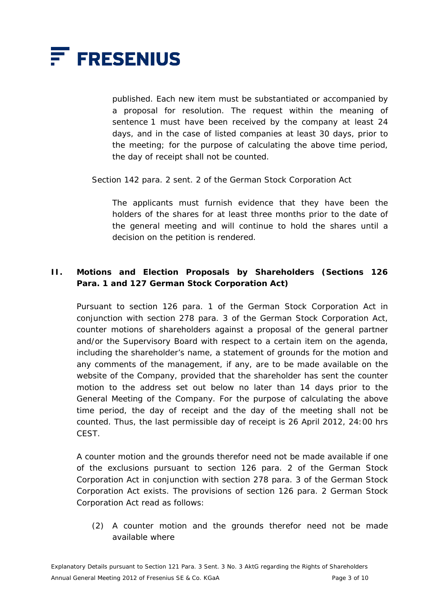

published. Each new item must be substantiated or accompanied by a proposal for resolution. The request within the meaning of sentence 1 must have been received by the company at least 24 days, and in the case of listed companies at least 30 days, prior to the meeting; for the purpose of calculating the above time period, the day of receipt shall not be counted.

Section 142 para. 2 sent. 2 of the German Stock Corporation Act

 The applicants must furnish evidence that they have been the holders of the shares for at least three months prior to the date of the general meeting and will continue to hold the shares until a decision on the petition is rendered.

# **II. Motions and Election Proposals by Shareholders (Sections 126 Para. 1 and 127 German Stock Corporation Act)**

 Pursuant to section 126 para. 1 of the German Stock Corporation Act in conjunction with section 278 para. 3 of the German Stock Corporation Act, counter motions of shareholders against a proposal of the general partner and/or the Supervisory Board with respect to a certain item on the agenda, including the shareholder's name, a statement of grounds for the motion and any comments of the management, if any, are to be made available on the website of the Company, provided that the shareholder has sent the counter motion to the address set out below no later than 14 days prior to the General Meeting of the Company. For the purpose of calculating the above time period, the day of receipt and the day of the meeting shall not be counted. Thus, the last permissible day of receipt is 26 April 2012, 24:00 hrs **CEST.** 

 A counter motion and the grounds therefor need not be made available if one of the exclusions pursuant to section 126 para. 2 of the German Stock Corporation Act in conjunction with section 278 para. 3 of the German Stock Corporation Act exists. The provisions of section 126 para. 2 German Stock Corporation Act read as follows:

(2) A counter motion and the grounds therefor need not be made available where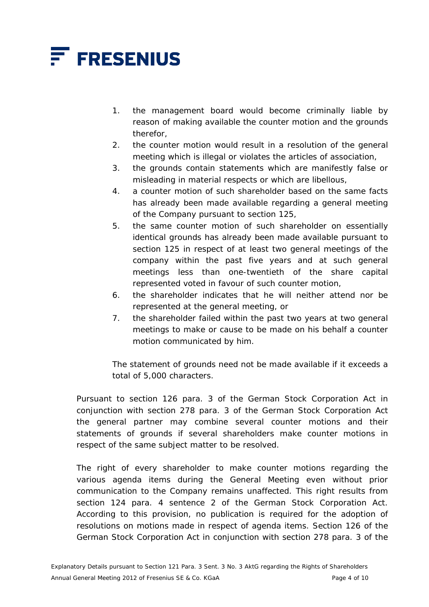

- 1. the management board would become criminally liable by reason of making available the counter motion and the grounds therefor,
- 2. the counter motion would result in a resolution of the general meeting which is illegal or violates the articles of association,
- 3. the grounds contain statements which are manifestly false or misleading in material respects or which are libellous,
- 4. a counter motion of such shareholder based on the same facts has already been made available regarding a general meeting of the Company pursuant to section 125,
- 5. the same counter motion of such shareholder on essentially identical grounds has already been made available pursuant to section 125 in respect of at least two general meetings of the company within the past five years and at such general meetings less than one-twentieth of the share capital represented voted in favour of such counter motion,
- 6. the shareholder indicates that he will neither attend nor be represented at the general meeting, or
- 7. the shareholder failed within the past two years at two general meetings to make or cause to be made on his behalf a counter motion communicated by him.

 The statement of grounds need not be made available if it exceeds a total of 5,000 characters.

 Pursuant to section 126 para. 3 of the German Stock Corporation Act in conjunction with section 278 para. 3 of the German Stock Corporation Act the general partner may combine several counter motions and their statements of grounds if several shareholders make counter motions in respect of the same subject matter to be resolved.

The right of every shareholder to make counter motions regarding the various agenda items during the General Meeting even without prior communication to the Company remains unaffected. This right results from section 124 para. 4 sentence 2 of the German Stock Corporation Act. According to this provision, no publication is required for the adoption of resolutions on motions made in respect of agenda items. Section 126 of the German Stock Corporation Act in conjunction with section 278 para. 3 of the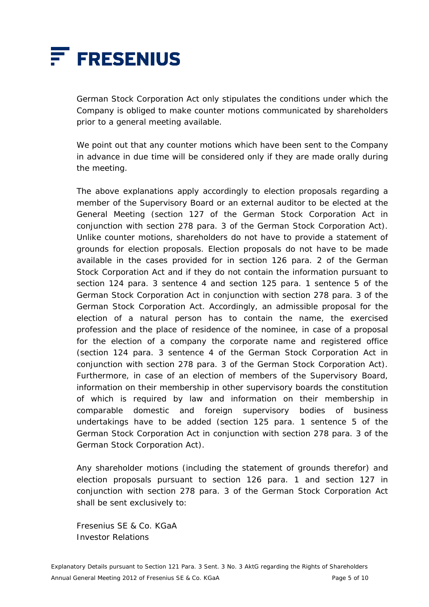

German Stock Corporation Act only stipulates the conditions under which the Company is obliged to make counter motions communicated by shareholders prior to a general meeting available.

 We point out that any counter motions which have been sent to the Company in advance in due time will be considered only if they are made orally during the meeting.

 The above explanations apply accordingly to election proposals regarding a member of the Supervisory Board or an external auditor to be elected at the General Meeting (section 127 of the German Stock Corporation Act in conjunction with section 278 para. 3 of the German Stock Corporation Act). Unlike counter motions, shareholders do not have to provide a statement of grounds for election proposals. Election proposals do not have to be made available in the cases provided for in section 126 para. 2 of the German Stock Corporation Act and if they do not contain the information pursuant to section 124 para. 3 sentence 4 and section 125 para. 1 sentence 5 of the German Stock Corporation Act in conjunction with section 278 para. 3 of the German Stock Corporation Act. Accordingly, an admissible proposal for the election of a natural person has to contain the name, the exercised profession and the place of residence of the nominee, in case of a proposal for the election of a company the corporate name and registered office (section 124 para. 3 sentence 4 of the German Stock Corporation Act in conjunction with section 278 para. 3 of the German Stock Corporation Act). Furthermore, in case of an election of members of the Supervisory Board, information on their membership in other supervisory boards the constitution of which is required by law and information on their membership in comparable domestic and foreign supervisory bodies of business undertakings have to be added (section 125 para. 1 sentence 5 of the German Stock Corporation Act in conjunction with section 278 para. 3 of the German Stock Corporation Act).

 Any shareholder motions (including the statement of grounds therefor) and election proposals pursuant to section 126 para. 1 and section 127 in conjunction with section 278 para. 3 of the German Stock Corporation Act shall be sent exclusively to:

 Fresenius SE & Co. KGaA Investor Relations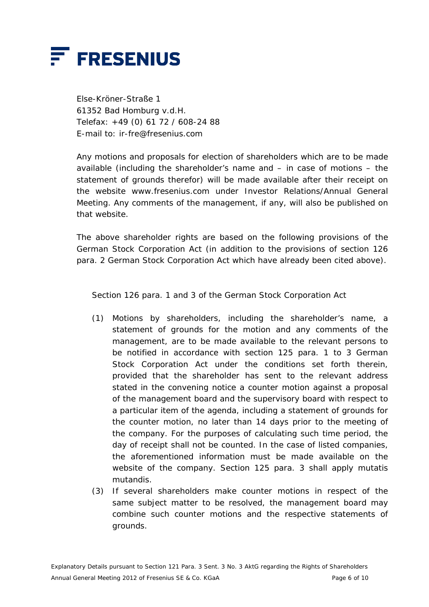

 Else-Kröner-Straße 1 61352 Bad Homburg v.d.H. Telefax: +49 (0) 61 72 / 608-24 88 E-mail to: ir-fre@fresenius.com

 Any motions and proposals for election of shareholders which are to be made available (including the shareholder's name and – in case of motions – the statement of grounds therefor) will be made available after their receipt on the website www.fresenius.com under Investor Relations/Annual General Meeting. Any comments of the management, if any, will also be published on that website.

 The above shareholder rights are based on the following provisions of the German Stock Corporation Act (in addition to the provisions of section 126 para. 2 German Stock Corporation Act which have already been cited above).

Section 126 para. 1 and 3 of the German Stock Corporation Act

- (1) Motions by shareholders, including the shareholder's name, a statement of grounds for the motion and any comments of the management, are to be made available to the relevant persons to be notified in accordance with section 125 para. 1 to 3 German Stock Corporation Act under the conditions set forth therein, provided that the shareholder has sent to the relevant address stated in the convening notice a counter motion against a proposal of the management board and the supervisory board with respect to a particular item of the agenda, including a statement of grounds for the counter motion, no later than 14 days prior to the meeting of the company. For the purposes of calculating such time period, the day of receipt shall not be counted. In the case of listed companies, the aforementioned information must be made available on the website of the company. Section 125 para. 3 shall apply mutatis mutandis.
- (3) If several shareholders make counter motions in respect of the same subject matter to be resolved, the management board may combine such counter motions and the respective statements of grounds.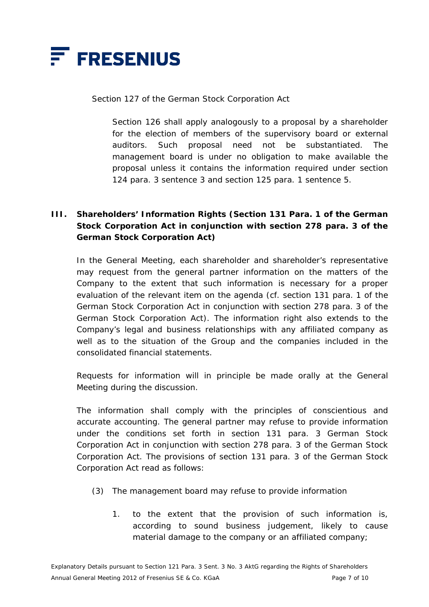

#### Section 127 of the German Stock Corporation Act

 Section 126 shall apply analogously to a proposal by a shareholder for the election of members of the supervisory board or external auditors. Such proposal need not be substantiated. The management board is under no obligation to make available the proposal unless it contains the information required under section 124 para. 3 sentence 3 and section 125 para. 1 sentence 5.

# **III. Shareholders' Information Rights (Section 131 Para. 1 of the German Stock Corporation Act in conjunction with section 278 para. 3 of the German Stock Corporation Act)**

 In the General Meeting, each shareholder and shareholder's representative may request from the general partner information on the matters of the Company to the extent that such information is necessary for a proper evaluation of the relevant item on the agenda (cf. section 131 para. 1 of the German Stock Corporation Act in conjunction with section 278 para. 3 of the German Stock Corporation Act). The information right also extends to the Company's legal and business relationships with any affiliated company as well as to the situation of the Group and the companies included in the consolidated financial statements.

 Requests for information will in principle be made orally at the General Meeting during the discussion.

 The information shall comply with the principles of conscientious and accurate accounting. The general partner may refuse to provide information under the conditions set forth in section 131 para. 3 German Stock Corporation Act in conjunction with section 278 para. 3 of the German Stock Corporation Act. The provisions of section 131 para. 3 of the German Stock Corporation Act read as follows:

- (3) The management board may refuse to provide information
	- 1. to the extent that the provision of such information is, according to sound business judgement, likely to cause material damage to the company or an affiliated company;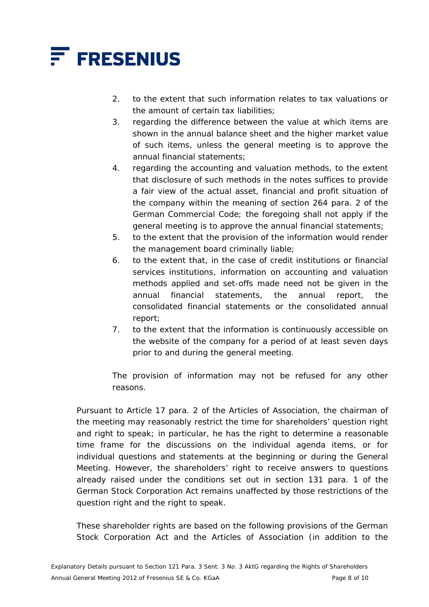

- 2. to the extent that such information relates to tax valuations or the amount of certain tax liabilities;
- 3. regarding the difference between the value at which items are shown in the annual balance sheet and the higher market value of such items, unless the general meeting is to approve the annual financial statements;
- 4. regarding the accounting and valuation methods, to the extent that disclosure of such methods in the notes suffices to provide a fair view of the actual asset, financial and profit situation of the company within the meaning of section 264 para. 2 of the German Commercial Code; the foregoing shall not apply if the general meeting is to approve the annual financial statements;
- 5. to the extent that the provision of the information would render the management board criminally liable;
- 6. to the extent that, in the case of credit institutions or financial services institutions, information on accounting and valuation methods applied and set-offs made need not be given in the annual financial statements, the annual report, the consolidated financial statements or the consolidated annual report;
- 7. to the extent that the information is continuously accessible on the website of the company for a period of at least seven days prior to and during the general meeting.

 The provision of information may not be refused for any other reasons.

 Pursuant to Article 17 para. 2 of the Articles of Association, the chairman of the meeting may reasonably restrict the time for shareholders' question right and right to speak; in particular, he has the right to determine a reasonable time frame for the discussions on the individual agenda items, or for individual questions and statements at the beginning or during the General Meeting. However, the shareholders' right to receive answers to questions already raised under the conditions set out in section 131 para. 1 of the German Stock Corporation Act remains unaffected by those restrictions of the question right and the right to speak.

 These shareholder rights are based on the following provisions of the German Stock Corporation Act and the Articles of Association (in addition to the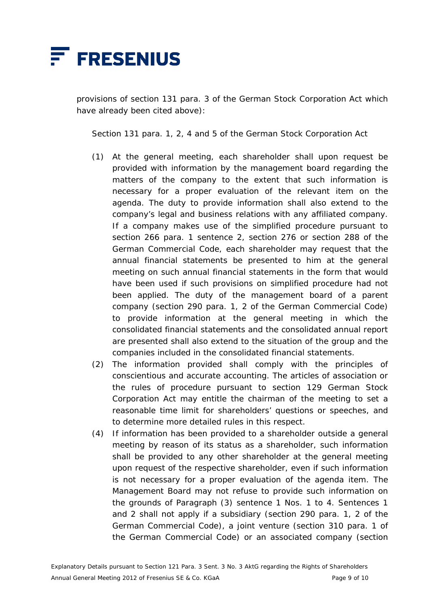

provisions of section 131 para. 3 of the German Stock Corporation Act which have already been cited above):

Section 131 para. 1, 2, 4 and 5 of the German Stock Corporation Act

- (1) At the general meeting, each shareholder shall upon request be provided with information by the management board regarding the matters of the company to the extent that such information is necessary for a proper evaluation of the relevant item on the agenda. The duty to provide information shall also extend to the company's legal and business relations with any affiliated company. If a company makes use of the simplified procedure pursuant to section 266 para. 1 sentence 2, section 276 or section 288 of the German Commercial Code, each shareholder may request that the annual financial statements be presented to him at the general meeting on such annual financial statements in the form that would have been used if such provisions on simplified procedure had not been applied. The duty of the management board of a parent company (section 290 para. 1, 2 of the German Commercial Code) to provide information at the general meeting in which the consolidated financial statements and the consolidated annual report are presented shall also extend to the situation of the group and the companies included in the consolidated financial statements.
- (2) The information provided shall comply with the principles of conscientious and accurate accounting. The articles of association or the rules of procedure pursuant to section 129 German Stock Corporation Act may entitle the chairman of the meeting to set a reasonable time limit for shareholders' questions or speeches, and to determine more detailed rules in this respect.
- (4) If information has been provided to a shareholder outside a general meeting by reason of its status as a shareholder, such information shall be provided to any other shareholder at the general meeting upon request of the respective shareholder, even if such information is not necessary for a proper evaluation of the agenda item. The Management Board may not refuse to provide such information on the grounds of Paragraph (3) sentence 1 Nos. 1 to 4. Sentences 1 and 2 shall not apply if a subsidiary (section 290 para. 1, 2 of the German Commercial Code), a joint venture (section 310 para. 1 of the German Commercial Code) or an associated company (section